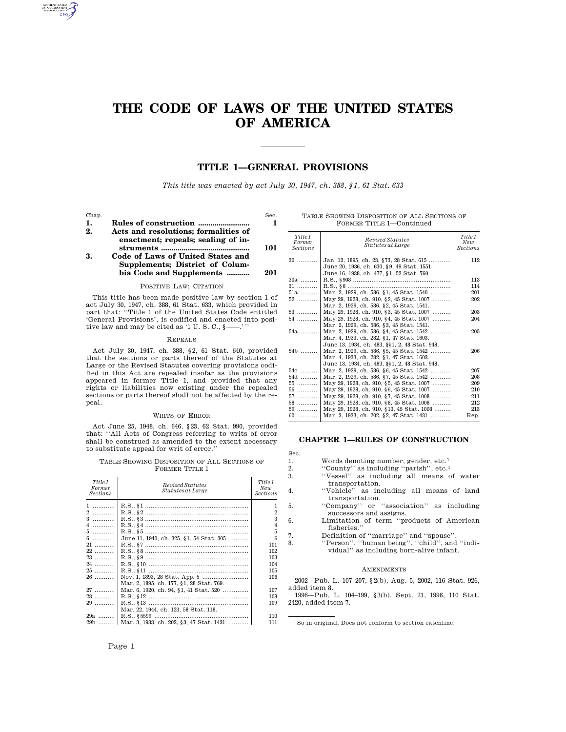# **THE CODE OF LAWS OF THE UNITED STATES OF AMERICA**

# **TITLE 1—GENERAL PROVISIONS**

*This title was enacted by act July 30, 1947, ch. 388, §1, 61 Stat. 633*

Chap. Sec.

**1. Rules of construction ......................... 1 2. Acts and resolutions; formalities of enactment; repeals; sealing of instruments ........................................... 101**

## **3. Code of Laws of United States and Supplements; District of Columbia Code and Supplements ........... 201**

## POSITIVE LAW; CITATION

This title has been made positive law by section 1 of act July 30, 1947, ch. 388, 61 Stat. 633, which provided in part that: ''Title 1 of the United States Code entitled 'General Provisions', is codified and enacted into positive law and may be cited as '1 U.S.C.,  $\S$ -

#### REPEALS

Act July 30, 1947, ch. 388, §2, 61 Stat. 640, provided that the sections or parts thereof of the Statutes at Large or the Revised Statutes covering provisions codified in this Act are repealed insofar as the provisions appeared in former Title 1, and provided that any rights or liabilities now existing under the repealed sections or parts thereof shall not be affected by the repeal.

#### WRITS OF ERROR

Act June 25, 1948, ch. 646, §23, 62 Stat. 990, provided that: ''All Acts of Congress referring to writs of error shall be construed as amended to the extent necessary to substitute appeal for writ of error.''

TABLE SHOWING DISPOSITION OF ALL SECTIONS OF FORMER TITLE 1

| Title 1<br>Former<br>Sections | Revised Statutes<br>Statutes at Large           | Title 1<br>New<br>Sections |
|-------------------------------|-------------------------------------------------|----------------------------|
| 1                             |                                                 | 1                          |
| 2                             |                                                 | $\overline{2}$             |
| $3$                           |                                                 | 3                          |
| $4$                           |                                                 | $\overline{4}$             |
| 5                             |                                                 | 5                          |
| $6 \ldots$                    | June 11, 1940, ch. 325, §1, 54 Stat. 305        | 6                          |
| $21$                          |                                                 |                            |
|                               |                                                 | 101                        |
| $22$                          |                                                 | 102                        |
| $23$                          |                                                 | 103                        |
| 24                            |                                                 | 104                        |
| $25$                          |                                                 | 105                        |
| $26$                          |                                                 | 106                        |
|                               | Mar. 2, 1895, ch. 177, §1, 28 Stat. 769.        |                            |
| $27$                          | Mar. 6, 1920, ch. 94, §1, 41 Stat. 520          | 107                        |
| $28$                          |                                                 | 108                        |
| $29$                          |                                                 | 109                        |
|                               | Mar. 22, 1944, ch. 123, 58 Stat. 118.           |                            |
| $29a$                         |                                                 | 110                        |
|                               | 29b    Mar. 3, 1933, ch. 202, §3, 47 Stat. 1431 | 111                        |

|                          | TABLE SHOWING DISPOSITION OF ALL SECTIONS OF |  |  |  |  |  |  |  |
|--------------------------|----------------------------------------------|--|--|--|--|--|--|--|
| FORMER TITLE 1-Continued |                                              |  |  |  |  |  |  |  |

| Title 1<br>Former<br><b>Sections</b> | Revised Statutes<br>Statutes at Large                                                                                                  | Title 1<br>New<br>Sections |
|--------------------------------------|----------------------------------------------------------------------------------------------------------------------------------------|----------------------------|
| $30$                                 | Jan. 12, 1895, ch. 23, §73, 28 Stat. 615<br>June 20, 1936, ch. 630, §9, 49 Stat. 1551.<br>June 16, 1938, ch. 477, §1, 52 Stat. 760.    | 112                        |
| $30a$                                | R.S., §908 ………………………………………………                                                                                                          | 113                        |
| $31$                                 |                                                                                                                                        | 114                        |
| 51a                                  | Mar. 2, 1929, ch. 586, §1, 45 Stat. 1540                                                                                               | 201                        |
| $52$                                 | May 29, 1928, ch. 910, §2, 45 Stat. 1007<br>Mar. 2, 1929, ch. 586, §2, 45 Stat. 1541.                                                  | 202                        |
| $53$                                 | May 29, 1928, ch. 910, §3, 45 Stat. 1007                                                                                               | 203                        |
| $54$                                 | May 29, 1928, ch. 910, §4, 45 Stat. 1007<br>Mar. 2, 1929. ch. 586, §3, 45 Stat. 1541.                                                  | 204                        |
| $54a$                                | Mar. 2, 1929, ch. 586, §4, 45 Stat. 1542<br>Mar. 4, 1933. ch. 282, §1, 47 Stat. 1603.<br>June 13, 1934, ch. 483, §§1, 2, 48 Stat. 948. | 205                        |
| 54b                                  | Mar. 2, 1929, ch. 586, §5, 45 Stat. 1542<br>Mar. 4, 1933, ch. 282, §1, 47 Stat. 1603.<br>June 13, 1934, ch. 483, §§1, 2, 48 Stat. 948. | 206                        |
| $54c$                                | Mar. 2, 1929, ch. 586, §6, 45 Stat. 1542                                                                                               | 207                        |
| 54d                                  | Mar. 2, 1929, ch. 586, §7, 45 Stat. 1542                                                                                               | 208                        |
| $55$                                 | May 29, 1928, ch. 910, §5, 45 Stat. 1007                                                                                               | 209                        |
| 56                                   | May 29, 1928, ch. 910, §6, 45 Stat. 1007                                                                                               | 210                        |
| $57$                                 | May 29, 1928, ch. 910, §7, 45 Stat. 1008                                                                                               | 211                        |
| 58                                   | May 29, 1928, ch. 910, 88, 45 Stat, 1008                                                                                               | 212                        |
| 59                                   | May 29, 1928, ch. 910, §10, 45 Stat. 1008                                                                                              | 213                        |
| $60$                                 | Mar. 3, 1933, ch. 202, §2, 47 Stat. 1431                                                                                               | Rep.                       |

## **CHAPTER 1—RULES OF CONSTRUCTION**

Sec.

- 1. Words denoting number, gender, etc.<sup>1</sup><br>2. "County" as including "parish", etc.<sup>1</sup> 2. ''County'' as including ''parish'', etc.1
- 3. ''Vessel'' as including all means of water transportation.
- 4. ''Vehicle'' as including all means of land transportation.
- 5. ''Company'' or ''association'' as including successors and assigns.
- 6. Limitation of term ''products of American
	- fisheries.''
- 7. Definition of ''marriage'' and ''spouse''.
- 8. ''Person'', ''human being'', ''child'', and ''individual'' as including born-alive infant.

#### **AMENDMENTS**

2002—Pub. L. 107–207, §2(b), Aug. 5, 2002, 116 Stat. 926, added item 8.

1996—Pub. L. 104–199, §3(b), Sept. 21, 1996, 110 Stat. 2420, added item 7.

1So in original. Does not conform to section catchline.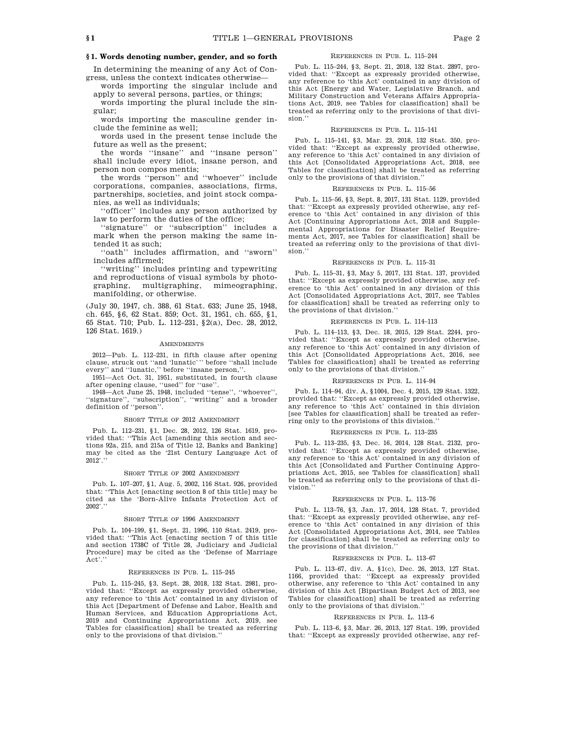## **§ 1. Words denoting number, gender, and so forth**

In determining the meaning of any Act of Congress, unless the context indicates otherwise—

words importing the singular include and apply to several persons, parties, or things;

words importing the plural include the singular;

words importing the masculine gender include the feminine as well;

words used in the present tense include the future as well as the present;

the words ''insane'' and ''insane person'' shall include every idiot, insane person, and person non compos mentis;

the words ''person'' and ''whoever'' include corporations, companies, associations, firms, partnerships, societies, and joint stock companies, as well as individuals;

''officer'' includes any person authorized by law to perform the duties of the office;

''signature'' or ''subscription'' includes a mark when the person making the same intended it as such;

''oath'' includes affirmation, and ''sworn'' includes affirmed;

''writing'' includes printing and typewriting and reproductions of visual symbols by photo-<br>graphing, multigraphing, mimeographing, graphing, multigraphing, manifolding, or otherwise.

(July 30, 1947, ch. 388, 61 Stat. 633; June 25, 1948, ch. 645, §6, 62 Stat. 859; Oct. 31, 1951, ch. 655, §1, 65 Stat. 710; Pub. L. 112–231, §2(a), Dec. 28, 2012, 126 Stat. 1619.)

#### AMENDMENTS

2012—Pub. L. 112–231, in fifth clause after opening clause, struck out ''and 'lunatic''' before ''shall include every" and "lunatic," before "insane person,"

1951—Act Oct. 31, 1951, substituted, in fourth clause after opening clause, ''used'' for ''use''.

1948—Act June 25, 1948, included ''tense'', ''whoever'', ''signature'', ''subscription'', ''writing'' and a broader definition of ''person''.

#### SHORT TITLE OF 2012 AMENDMENT

Pub. L. 112–231, §1, Dec. 28, 2012, 126 Stat. 1619, provided that: "This Act [amending this section and sections 92a, 215, and 215a of Title 12, Banks and Banking] may be cited as the '21st Century Language Act of 2012'.''

#### SHORT TITLE OF 2002 AMENDMENT

Pub. L. 107–207, §1, Aug. 5, 2002, 116 Stat. 926, provided that: ''This Act [enacting section 8 of this title] may be cited as the 'Born-Alive Infants Protection Act of 2002'.''

#### SHORT TITLE OF 1996 AMENDMENT

Pub. L. 104–199, §1, Sept. 21, 1996, 110 Stat. 2419, provided that: ''This Act [enacting section 7 of this title and section 1738C of Title 28, Judiciary and Judicial Procedure] may be cited as the 'Defense of Marriage  $\mathop{\rm Act}\nolimits$  .'

#### REFERENCES IN PUB. L. 115–245

Pub. L. 115–245, §3, Sept. 28, 2018, 132 Stat. 2981, provided that: ''Except as expressly provided otherwise, any reference to 'this Act' contained in any division of this Act [Department of Defense and Labor, Health and Human Services, and Education Appropriations Act, 2019 and Continuing Appropriations Act, 2019, see Tables for classification] shall be treated as referring only to the provisions of that division.''

## REFERENCES IN PUB. L. 115–244

Pub. L. 115–244, §3, Sept. 21, 2018, 132 Stat. 2897, provided that: ''Except as expressly provided otherwise, any reference to 'this Act' contained in any division of this Act [Energy and Water, Legislative Branch, and Military Construction and Veterans Affairs Appropriations Act, 2019, see Tables for classification] shall be treated as referring only to the provisions of that division.''

#### REFERENCES IN PUB. L. 115–141

Pub. L. 115–141, §3, Mar. 23, 2018, 132 Stat. 350, provided that: ''Except as expressly provided otherwise, any reference to 'this Act' contained in any division of this Act [Consolidated Appropriations Act, 2018, see Tables for classification] shall be treated as referring only to the provisions of that division.''

#### REFERENCES IN PUB. L. 115–56

Pub. L. 115–56, §3, Sept. 8, 2017, 131 Stat. 1129, provided that: ''Except as expressly provided otherwise, any reference to 'this Act' contained in any division of this Act [Continuing Appropriations Act, 2018 and Supplemental Appropriations for Disaster Relief Requirements Act, 2017, see Tables for classification] shall be treated as referring only to the provisions of that division.''

#### REFERENCES IN PUB. L. 115–31

Pub. L. 115–31, §3, May 5, 2017, 131 Stat. 137, provided that: ''Except as expressly provided otherwise, any reference to 'this Act' contained in any division of this Act [Consolidated Appropriations Act, 2017, see Tables for classification] shall be treated as referring only to the provisions of that division.''

#### REFERENCES IN PUB. L. 114–113

Pub. L. 114–113, §3, Dec. 18, 2015, 129 Stat. 2244, provided that: ''Except as expressly provided otherwise, any reference to 'this Act' contained in any division of this Act [Consolidated Appropriations Act, 2016, see Tables for classification] shall be treated as referring only to the provisions of that division.''

#### REFERENCES IN PUB. L. 114–94

Pub. L. 114–94, div. A, §1004, Dec. 4, 2015, 129 Stat. 1322, provided that: ''Except as expressly provided otherwise, any reference to 'this Act' contained in this division [see Tables for classification] shall be treated as referring only to the provisions of this division.''

## REFERENCES IN PUB. L. 113–235

Pub. L. 113–235, §3, Dec. 16, 2014, 128 Stat. 2132, provided that: ''Except as expressly provided otherwise, any reference to 'this Act' contained in any division of this Act [Consolidated and Further Continuing Appropriations Act, 2015, see Tables for classification] shall be treated as referring only to the provisions of that division.''

#### REFERENCES IN PUB. L. 113–76

Pub. L. 113–76, §3, Jan. 17, 2014, 128 Stat. 7, provided that: ''Except as expressly provided otherwise, any reference to 'this Act' contained in any division of this Act [Consolidated Appropriations Act, 2014, see Tables for classification] shall be treated as referring only to the provisions of that division.''

## REFERENCES IN PUB. L. 113–67

Pub. L. 113–67, div. A, §1(c), Dec. 26, 2013, 127 Stat. 1166, provided that: ''Except as expressly provided otherwise, any reference to 'this Act' contained in any division of this Act [Bipartisan Budget Act of 2013, see Tables for classification] shall be treated as referring only to the provisions of that division.

#### REFERENCES IN PUB. L. 113–6

Pub. L. 113–6, §3, Mar. 26, 2013, 127 Stat. 199, provided that: ''Except as expressly provided otherwise, any ref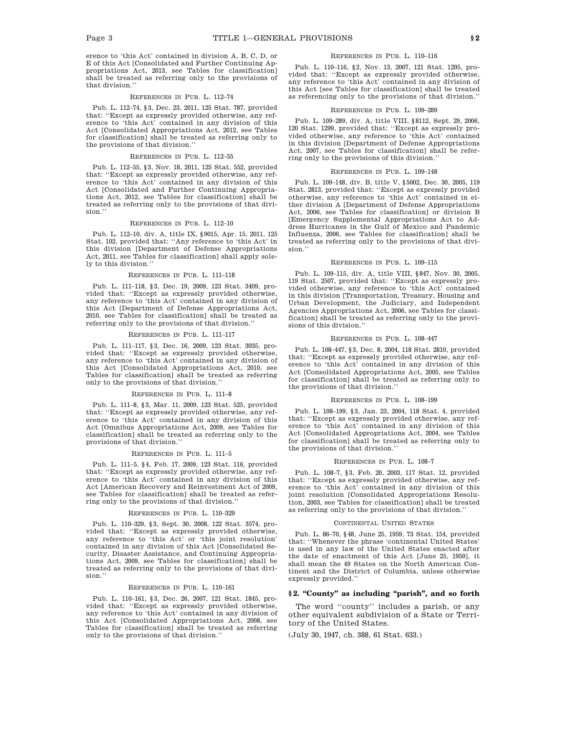erence to 'this Act' contained in division A, B, C, D, or E of this Act [Consolidated and Further Continuing Appropriations Act, 2013, see Tables for classification] shall be treated as referring only to the provisions of that division.''

#### REFERENCES IN PUB. L. 112–74

Pub. L. 112–74, §3, Dec. 23, 2011, 125 Stat. 787, provided that: ''Except as expressly provided otherwise, any reference to 'this Act' contained in any division of this Act [Consolidated Appropriations Act, 2012, see Tables for classification] shall be treated as referring only to the provisions of that division.''

#### REFERENCES IN PUB. L. 112–55

Pub. L. 112–55, §3, Nov. 18, 2011, 125 Stat. 552, provided that: ''Except as expressly provided otherwise, any reference to 'this Act' contained in any division of this Act [Consolidated and Further Continuing Appropriations Act, 2012, see Tables for classification] shall be treated as referring only to the provisions of that division.''

## REFERENCES IN PUB. L. 112–10

Pub. L. 112–10, div. A, title IX, §9015, Apr. 15, 2011, 125 Stat. 102, provided that: ''Any reference to 'this Act' in this division [Department of Defense Appropriations Act, 2011, see Tables for classification] shall apply solely to this division.''

#### REFERENCES IN PUB. L. 111–118

Pub. L. 111–118, §3, Dec. 19, 2009, 123 Stat. 3409, provided that: ''Except as expressly provided otherwise, any reference to 'this Act' contained in any division of this Act [Department of Defense Appropriations Act, 2010, see Tables for classification] shall be treated as referring only to the provisions of that division.''

#### REFERENCES IN PUB. L. 111–117

Pub. L. 111–117, §3, Dec. 16, 2009, 123 Stat. 3035, provided that: ''Except as expressly provided otherwise, any reference to 'this Act' contained in any division of this Act [Consolidated Appropriations Act, 2010, see Tables for classification] shall be treated as referring only to the provisions of that division.''

#### REFERENCES IN PUB. L. 111–8

Pub. L. 111–8, §3, Mar. 11, 2009, 123 Stat. 525, provided that: ''Except as expressly provided otherwise, any reference to 'this Act' contained in any division of this Act [Omnibus Appropriations Act, 2009, see Tables for classification] shall be treated as referring only to the provisions of that division.''

#### REFERENCES IN PUB. L. 111–5

Pub. L. 111–5, §4, Feb. 17, 2009, 123 Stat. 116, provided that: ''Except as expressly provided otherwise, any reference to 'this Act' contained in any division of this Act [American Recovery and Reinvestment Act of 2009, see Tables for classification] shall be treated as referring only to the provisions of that division.''

#### REFERENCES IN PUB. L. 110–329

Pub. L. 110–329, §3, Sept. 30, 2008, 122 Stat. 3574, provided that: ''Except as expressly provided otherwise, any reference to 'this Act' or 'this joint resolution' contained in any division of this Act [Consolidated Security, Disaster Assistance, and Continuing Appropriations Act, 2009, see Tables for classification] shall be treated as referring only to the provisions of that division.''

#### REFERENCES IN PUB. L. 110–161

Pub. L. 110–161, §3, Dec. 26, 2007, 121 Stat. 1845, provided that: ''Except as expressly provided otherwise, any reference to 'this Act' contained in any division of this Act [Consolidated Appropriations Act, 2008, see Tables for classification] shall be treated as referring only to the provisions of that division.''

#### REFERENCES IN PUB. L. 110–116

Pub. L. 110–116, §2, Nov. 13, 2007, 121 Stat. 1295, provided that: ''Except as expressly provided otherwise, any reference to 'this Act' contained in any division of this Act [see Tables for classification] shall be treated as referencing only to the provisions of that division.''

## REFERENCES IN PUB. L. 109–289

Pub. L. 109–289, div. A, title VIII, §8112, Sept. 29, 2006, 120 Stat. 1299, provided that: ''Except as expressly provided otherwise, any reference to 'this Act' contained in this division [Department of Defense Appropriations Act, 2007, see Tables for classification] shall be referring only to the provisions of this division.''

#### REFERENCES IN PUB. L. 109–148

Pub. L. 109–148, div. B, title V, §5002, Dec. 30, 2005, 119 Stat. 2813, provided that: ''Except as expressly provided otherwise, any reference to 'this Act' contained in either division A [Department of Defense Appropriations Act, 2006, see Tables for classification] or division B [Emergency Supplemental Appropriations Act to Address Hurricanes in the Gulf of Mexico and Pandemic Influenza, 2006, see Tables for classification] shall be treated as referring only to the provisions of that division.''

#### REFERENCES IN PUB. L. 109–115

Pub. L. 109–115, div. A, title VIII, §847, Nov. 30, 2005, 119 Stat. 2507, provided that: ''Except as expressly provided otherwise, any reference to 'this Act' contained in this division [Transportation, Treasury, Housing and Urban Development, the Judiciary, and Independent Agencies Appropriations Act, 2006, see Tables for classification] shall be treated as referring only to the provisions of this division.''

#### REFERENCES IN PUB. L. 108–447

Pub. L. 108–447, §3, Dec. 8, 2004, 118 Stat. 2810, provided that: ''Except as expressly provided otherwise, any reference to 'this Act' contained in any division of this Act [Consolidated Appropriations Act, 2005, see Tables for classification] shall be treated as referring only to the provisions of that division.''

#### REFERENCES IN PUB. L. 108–199

Pub. L. 108–199, §3, Jan. 23, 2004, 118 Stat. 4, provided that: ''Except as expressly provided otherwise, any reference to 'this Act' contained in any division of this Act [Consolidated Appropriations Act, 2004, see Tables for classification] shall be treated as referring only to the provisions of that division.''

#### REFERENCES IN PUB. L. 108–7

Pub. L. 108–7, §3, Feb. 20, 2003, 117 Stat. 12, provided that: ''Except as expressly provided otherwise, any reference to 'this Act' contained in any division of this joint resolution [Consolidated Appropriations Resolution, 2003, see Tables for classification] shall be treated as referring only to the provisions of that division.''

#### CONTINENTAL UNITED STATES

Pub. L. 86–70, §48, June 25, 1959, 73 Stat. 154, provided that: ''Whenever the phrase 'continental United States' is used in any law of the United States enacted after the date of enactment of this Act [June 25, 1959], it shall mean the 49 States on the North American Continent and the District of Columbia, unless otherwise expressly provided.''

## **§ 2. ''County'' as including ''parish'', and so forth**

The word ''county'' includes a parish, or any other equivalent subdivision of a State or Territory of the United States.

(July 30, 1947, ch. 388, 61 Stat. 633.)